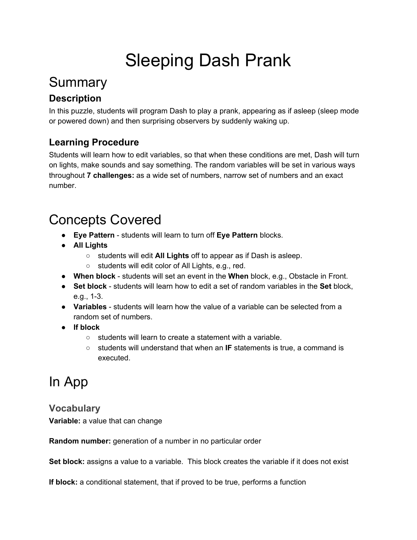# Sleeping Dash Prank

## Summary

### **Description**

In this puzzle, students will program Dash to play a prank, appearing as if asleep (sleep mode or powered down) and then surprising observers by suddenly waking up.

### **Learning Procedure**

Students will learn how to edit variables, so that when these conditions are met, Dash will turn on lights, make sounds and say something. The random variables will be set in various ways throughout **7 challenges:** as a wide set of numbers, narrow set of numbers and an exact number.

### Concepts Covered

- **Eye Pattern**  students will learn to turn off **Eye Pattern** blocks.
- **All Lights**
	- students will edit **All Lights** off to appear as if Dash is asleep.
	- students will edit color of All Lights, e.g., red.
- **When block**  students will set an event in the **When** block, e.g., Obstacle in Front.
- **•** Set block students will learn how to edit a set of random variables in the Set block,  $e.g., 1-3.$
- Variables students will learn how the value of a variable can be selected from a random set of numbers.
- **● If block**
	- students will learn to create a statement with a variable.
	- students will understand that when an **IF** statements is true, a command is executed.

## In App

### **Vocabulary**

**Variable:** a value that can change

**Random number:** generation of a number in no particular order

**Set block:** assigns a value to a variable. This block creates the variable if it does not exist

**If block:** a conditional statement, that if proved to be true, performs a function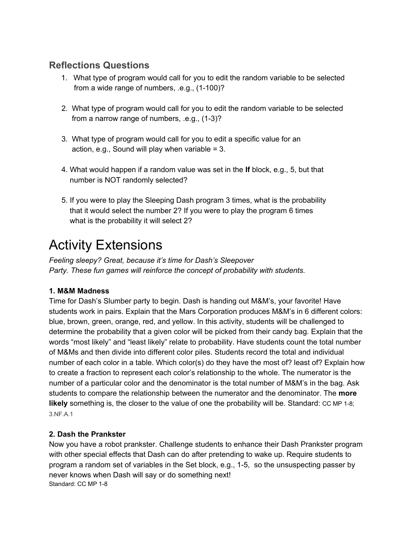### **Reflections Questions**

- 1. What type of program would call for you to edit the random variable to be selected from a wide range of numbers,  $.e.g., (1-100)?$
- 2. What type of program would call for you to edit the random variable to be selected from a narrow range of numbers,  $.e.g., (1-3)?$
- 3. What type of program would call for you to edit a specific value for an action, e.g., Sound will play when variable  $= 3$ .
- 4. What would happen if a random value was set in the **If** block, e.g., 5, but that number is NOT randomly selected?
- 5. If you were to play the Sleeping Dash program 3 times, what is the probability that it would select the number 2? If you were to play the program 6 times what is the probability it will select 2?

## Activity Extensions

*Feeling sleepy? Great, because it's time for Dash's Sleepover Party. These fun games will reinforce the concept of probability with students.*

#### **1. M&M Madness**

Time for Dash's Slumber party to begin. Dash is handing out M&M's, your favorite! Have students work in pairs. Explain that the Mars Corporation produces M&M's in 6 different colors: blue, brown, green, orange, red, and yellow. In this activity, students will be challenged to determine the probability that a given color will be picked from their candy bag. Explain that the words "most likely" and "least likely" relate to probability. Have students count the total number of M&Ms and then divide into different color piles. Students record the total and individual number of each color in a table. Which color(s) do they have the most of? least of? Explain how to create a fraction to represent each color's relationship to the whole. The numerator is the number of a particular color and the denominator is the total number of M&M's in the bag. Ask students to compare the relationship between the numerator and the denominator. The **more likely** something is, the closer to the value of one the probability will be. Standard: CC MP 1-8; [3.NF.A.1](http://www.corestandards.org/Math/Content/3/NF/A/1/)

#### **2. Dash the Prankster**

Now you have a robot prankster. Challenge students to enhance their Dash Prankster program with other special effects that Dash can do after pretending to wake up. Require students to program a random set of variables in the Set block, e.g., 1-5, so the unsuspecting passer by never knows when Dash will say or do something next! Standard: CC MP 1-8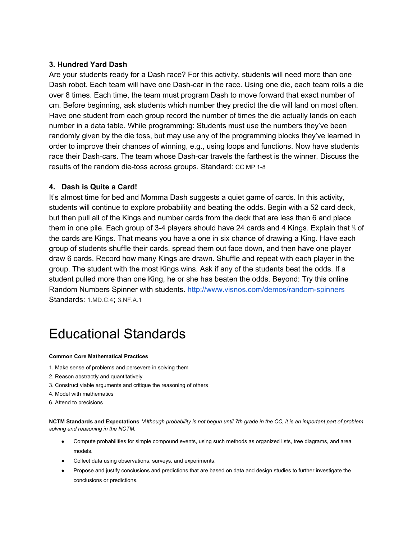#### **3. Hundred Yard Dash**

Are your students ready for a Dash race? For this activity, students will need more than one Dash robot. Each team will have one Dash-car in the race. Using one die, each team rolls a die over 8 times. Each time, the team must program Dash to move forward that exact number of cm. Before beginning, ask students which number they predict the die will land on most often. Have one student from each group record the number of times the die actually lands on each number in a data table. While programming: Students must use the numbers they've been randomly given by the die toss, but may use any of the programming blocks they've learned in order to improve their chances of winning, e.g., using loops and functions. Now have students race their Dash-cars. The team whose Dash-car travels the farthest is the winner. Discuss the results of the random die-toss across groups. Standard: CC MP 1-8

#### **4. Dash is Quite a Card!**

It's almost time for bed and Momma Dash suggests a quiet game of cards. In this activity, students will continue to explore probability and beating the odds. Begin with a 52 card deck, but then pull all of the Kings and number cards from the deck that are less than 6 and place them in one pile. Each group of 3-4 players should have 24 cards and 4 Kings. Explain that % of the cards are Kings. That means you have a one in six chance of drawing a King. Have each group of students shuffle their cards, spread them out face down, and then have one player draw 6 cards. Record how many Kings are drawn. Shuffle and repeat with each player in the group. The student with the most Kings wins. Ask if any of the students beat the odds. If a student pulled more than one King, he or she has beaten the odds. Beyond: Try this online Random Numbers Spinner with students. http://www.visnos.com/demos/random-spinners Standards: [1.MD.C.4](http://www.corestandards.org/Math/Content/1/MD/C/4/)**;** [3.NF.A.1](http://www.corestandards.org/Math/Content/3/NF/A/1/)

## Educational Standards

#### **Common Core Mathematical Practices**

- 1. Make sense of problems and persevere in solving them
- 2. Reason abstractly and quantitatively
- 3. Construct viable arguments and critique the reasoning of others
- 4. Model with mathematics
- 6. Attend to precisions

NCTM Standards and Expectations \*Although probability is not begun until 7th grade in the CC, it is an important part of problem *solving and reasoning in the NCTM.*

- Compute probabilities for simple compound events, using such methods as organized lists, tree diagrams, and area models.
- Collect data using observations, surveys, and experiments.
- Propose and justify conclusions and predictions that are based on data and design studies to further investigate the conclusions or predictions.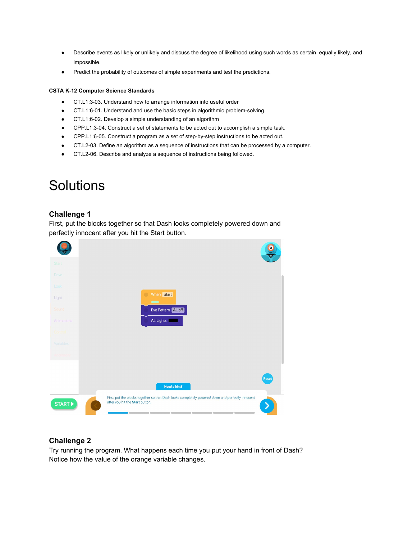- Describe events as likely or unlikely and discuss the degree of likelihood using such words as certain, equally likely, and impossible.
- Predict the probability of outcomes of simple experiments and test the predictions.

#### **CSTA K12 Computer Science Standards**

- CT.L1:303. Understand how to arrange information into useful order
- CT.L1:6-01. Understand and use the basic steps in algorithmic problem-solving.
- CT.L1:602. Develop a simple understanding of an algorithm
- CPP.L1.3-04. Construct a set of statements to be acted out to accomplish a simple task.
- CPP.L1:6-05. Construct a program as a set of step-by-step instructions to be acted out.
- CT.L203. Define an algorithm as a sequence of instructions that can be processed by a computer.
- CT.L206. Describe and analyze a sequence of instructions being followed.

### **Solutions**

#### **Challenge 1**

First, put the blocks together so that Dash looks completely powered down and perfectly innocent after you hit the Start button.

|                       |                                                                                                                                     | $\bullet$ |
|-----------------------|-------------------------------------------------------------------------------------------------------------------------------------|-----------|
| Start                 |                                                                                                                                     |           |
| Drive                 |                                                                                                                                     |           |
| Look                  |                                                                                                                                     |           |
| Light                 | When Start<br>$\bullet$<br>$\blacksquare$                                                                                           |           |
| Sound                 | Eye Pattern All off                                                                                                                 |           |
| Animations            | All Lights                                                                                                                          |           |
| Corttrol              |                                                                                                                                     |           |
| Variables             |                                                                                                                                     |           |
| Accessory             |                                                                                                                                     |           |
|                       |                                                                                                                                     |           |
|                       |                                                                                                                                     | Reset     |
|                       | Need a hint?                                                                                                                        |           |
| START <sup>&gt;</sup> | First, put the blocks together so that Dash looks completely powered down and perfectly innocent<br>after you hit the Start button. |           |

#### **Challenge 2**

Try running the program. What happens each time you put your hand in front of Dash? Notice how the value of the orange variable changes.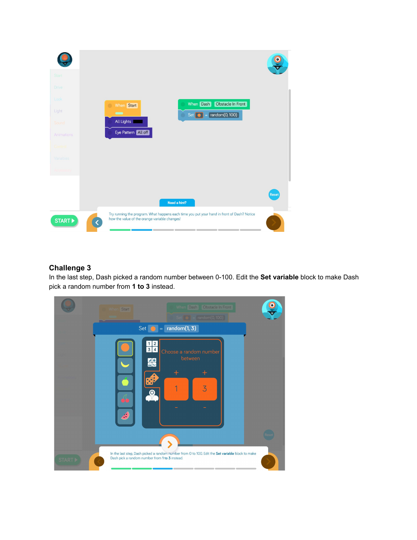

#### **Challenge 3**

In the last step, Dash picked a random number between 0100. Edit the **Set variable** block to make Dash pick a random number from **1 to 3** instead.

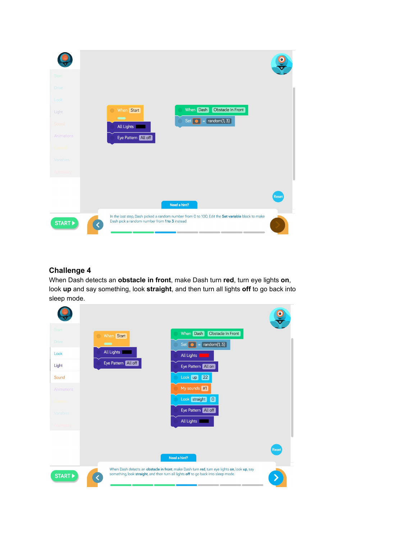

#### **Challenge 4**

When Dash detects an **obstacle in front**, make Dash turn **red**, turn eye lights **on**, look **up** and say something, look **straight**, and then turn all lights **off** to go back into sleep mode.

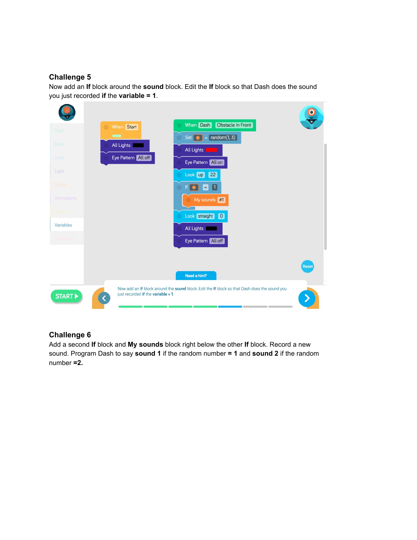#### **Challenge 5**

Now add an **If** block around the **sound** block. Edit the **If** block so that Dash does the sound you just recorded **if** the **variable = 1**.



#### **Challenge 6**

Add a second **If** block and **My sounds** block right below the other **If** block. Record a new sound. Program Dash to say **sound 1** if the random number **= 1** and **sound 2** if the random number **=2.**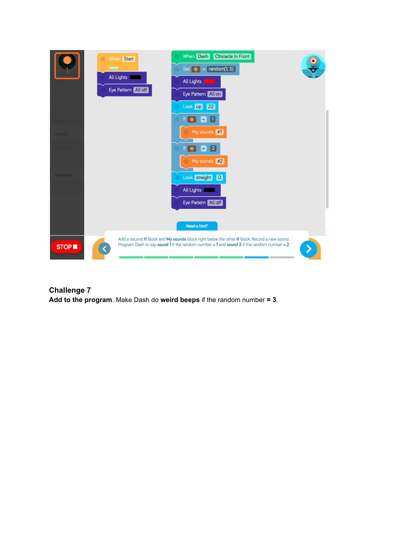

**Challenge 7 Add to the program**. Make Dash do **weird beeps** if the random number **= 3**.